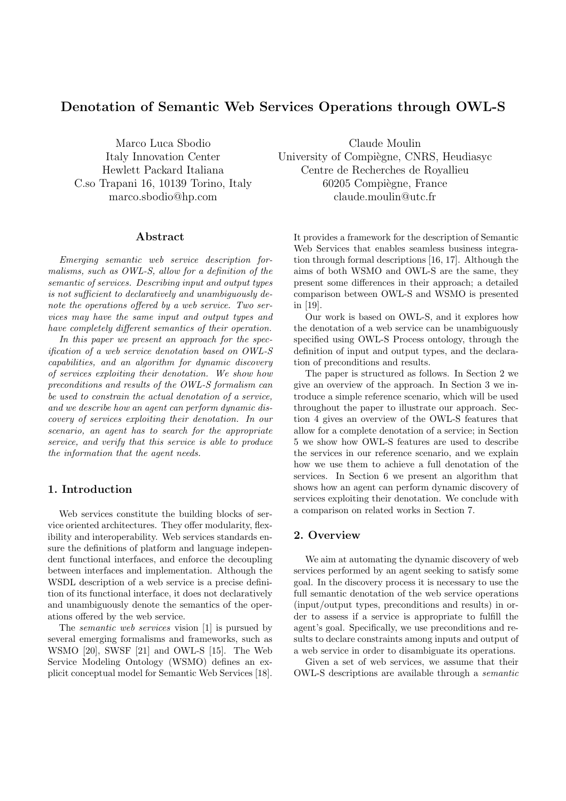# Denotation of Semantic Web Services Operations through OWL-S

Marco Luca Sbodio Italy Innovation Center Hewlett Packard Italiana C.so Trapani 16, 10139 Torino, Italy marco.sbodio@hp.com

#### Abstract

Emerging semantic web service description formalisms, such as OWL-S, allow for a definition of the semantic of services. Describing input and output types is not sufficient to declaratively and unambiguously denote the operations offered by a web service. Two services may have the same input and output types and have completely different semantics of their operation.

In this paper we present an approach for the specification of a web service denotation based on OWL-S capabilities, and an algorithm for dynamic discovery of services exploiting their denotation. We show how preconditions and results of the OWL-S formalism can be used to constrain the actual denotation of a service, and we describe how an agent can perform dynamic discovery of services exploiting their denotation. In our scenario, an agent has to search for the appropriate service, and verify that this service is able to produce the information that the agent needs.

#### 1. Introduction

Web services constitute the building blocks of service oriented architectures. They offer modularity, flexibility and interoperability. Web services standards ensure the definitions of platform and language independent functional interfaces, and enforce the decoupling between interfaces and implementation. Although the WSDL description of a web service is a precise definition of its functional interface, it does not declaratively and unambiguously denote the semantics of the operations offered by the web service.

The *semantic web services* vision [1] is pursued by several emerging formalisms and frameworks, such as WSMO [20], SWSF [21] and OWL-S [15]. The Web Service Modeling Ontology (WSMO) defines an explicit conceptual model for Semantic Web Services [18].

Claude Moulin University of Compiègne, CNRS, Heudiasyc Centre de Recherches de Royallieu 60205 Compiègne, France claude.moulin@utc.fr

It provides a framework for the description of Semantic Web Services that enables seamless business integration through formal descriptions [16, 17]. Although the aims of both WSMO and OWL-S are the same, they present some differences in their approach; a detailed comparison between OWL-S and WSMO is presented in [19].

Our work is based on OWL-S, and it explores how the denotation of a web service can be unambiguously specified using OWL-S Process ontology, through the definition of input and output types, and the declaration of preconditions and results.

The paper is structured as follows. In Section 2 we give an overview of the approach. In Section 3 we introduce a simple reference scenario, which will be used throughout the paper to illustrate our approach. Section 4 gives an overview of the OWL-S features that allow for a complete denotation of a service; in Section 5 we show how OWL-S features are used to describe the services in our reference scenario, and we explain how we use them to achieve a full denotation of the services. In Section 6 we present an algorithm that shows how an agent can perform dynamic discovery of services exploiting their denotation. We conclude with a comparison on related works in Section 7.

## 2. Overview

We aim at automating the dynamic discovery of web services performed by an agent seeking to satisfy some goal. In the discovery process it is necessary to use the full semantic denotation of the web service operations (input/output types, preconditions and results) in order to assess if a service is appropriate to fulfill the agent's goal. Specifically, we use preconditions and results to declare constraints among inputs and output of a web service in order to disambiguate its operations.

Given a set of web services, we assume that their OWL-S descriptions are available through a semantic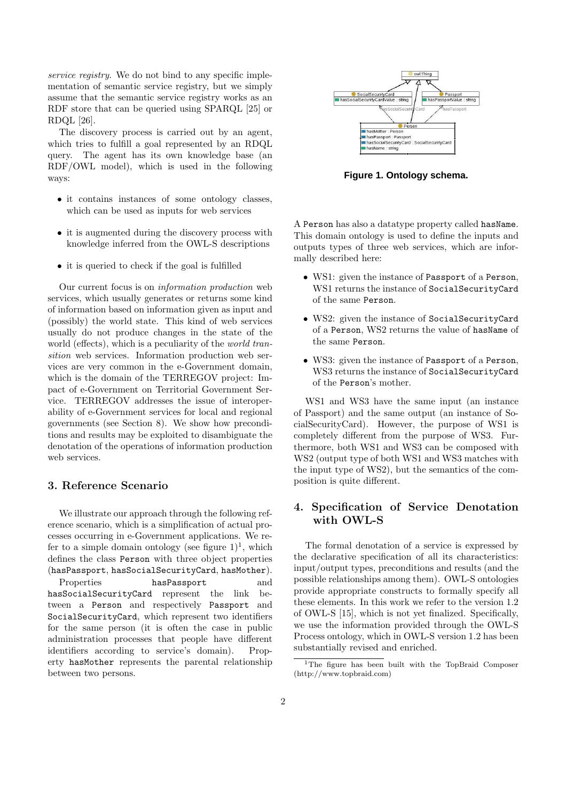service registry. We do not bind to any specific implementation of semantic service registry, but we simply assume that the semantic service registry works as an RDF store that can be queried using SPARQL [25] or RDQL [26].

The discovery process is carried out by an agent, which tries to fulfill a goal represented by an RDQL query. The agent has its own knowledge base (an RDF/OWL model), which is used in the following ways:

- it contains instances of some ontology classes, which can be used as inputs for web services
- it is augmented during the discovery process with knowledge inferred from the OWL-S descriptions
- it is queried to check if the goal is fulfilled

Our current focus is on information production web services, which usually generates or returns some kind of information based on information given as input and (possibly) the world state. This kind of web services usually do not produce changes in the state of the world (effects), which is a peculiarity of the *world tran*sition web services. Information production web services are very common in the e-Government domain, which is the domain of the TERREGOV project: Impact of e-Government on Territorial Government Service. TERREGOV addresses the issue of interoperability of e-Government services for local and regional governments (see Section 8). We show how preconditions and results may be exploited to disambiguate the denotation of the operations of information production web services.

#### 3. Reference Scenario

We illustrate our approach through the following reference scenario, which is a simplification of actual processes occurring in e-Government applications. We refer to a simple domain ontology (see figure  $1$ )<sup>1</sup>, which defines the class Person with three object properties (hasPassport, hasSocialSecurityCard, hasMother).

Properties **hasPassport** and hasSocialSecurityCard represent the link between a Person and respectively Passport and SocialSecurityCard, which represent two identifiers for the same person (it is often the case in public administration processes that people have different identifiers according to service's domain). Property hasMother represents the parental relationship between two persons.



**Figure 1. Ontology schema.**

A Person has also a datatype property called hasName. This domain ontology is used to define the inputs and outputs types of three web services, which are informally described here:

- WS1: given the instance of Passport of a Person, WS1 returns the instance of SocialSecurityCard of the same Person.
- WS2: given the instance of SocialSecurityCard of a Person, WS2 returns the value of hasName of the same Person.
- WS3: given the instance of Passport of a Person, WS3 returns the instance of SocialSecurityCard of the Person's mother.

WS1 and WS3 have the same input (an instance of Passport) and the same output (an instance of SocialSecurityCard). However, the purpose of WS1 is completely different from the purpose of WS3. Furthermore, both WS1 and WS3 can be composed with WS2 (output type of both WS1 and WS3 matches with the input type of WS2), but the semantics of the composition is quite different.

## 4. Specification of Service Denotation with OWL-S

The formal denotation of a service is expressed by the declarative specification of all its characteristics: input/output types, preconditions and results (and the possible relationships among them). OWL-S ontologies provide appropriate constructs to formally specify all these elements. In this work we refer to the version 1.2 of OWL-S [15], which is not yet finalized. Specifically, we use the information provided through the OWL-S Process ontology, which in OWL-S version 1.2 has been substantially revised and enriched.

<sup>&</sup>lt;sup>1</sup>The figure has been built with the TopBraid Composer (http://www.topbraid.com)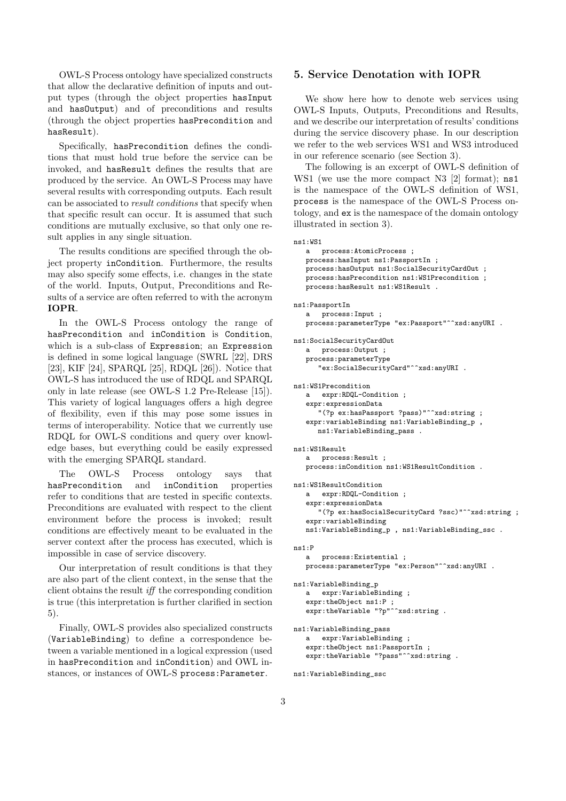OWL-S Process ontology have specialized constructs that allow the declarative definition of inputs and output types (through the object properties hasInput and hasOutput) and of preconditions and results (through the object properties hasPrecondition and hasResult).

Specifically, hasPrecondition defines the conditions that must hold true before the service can be invoked, and hasResult defines the results that are produced by the service. An OWL-S Process may have several results with corresponding outputs. Each result can be associated to result conditions that specify when that specific result can occur. It is assumed that such conditions are mutually exclusive, so that only one result applies in any single situation.

The results conditions are specified through the object property inCondition. Furthermore, the results may also specify some effects, i.e. changes in the state of the world. Inputs, Output, Preconditions and Results of a service are often referred to with the acronym IOPR.

In the OWL-S Process ontology the range of hasPrecondition and inCondition is Condition, which is a sub-class of Expression; an Expression is defined in some logical language (SWRL [22], DRS [23], KIF [24], SPARQL [25], RDQL [26]). Notice that OWL-S has introduced the use of RDQL and SPARQL only in late release (see OWL-S 1.2 Pre-Release [15]). This variety of logical languages offers a high degree of flexibility, even if this may pose some issues in terms of interoperability. Notice that we currently use RDQL for OWL-S conditions and query over knowledge bases, but everything could be easily expressed with the emerging SPARQL standard.

The OWL-S Process ontology says that hasPrecondition and inCondition properties refer to conditions that are tested in specific contexts. Preconditions are evaluated with respect to the client environment before the process is invoked; result conditions are effectively meant to be evaluated in the server context after the process has executed, which is impossible in case of service discovery.

Our interpretation of result conditions is that they are also part of the client context, in the sense that the client obtains the result  $iff$  the corresponding condition is true (this interpretation is further clarified in section 5).

Finally, OWL-S provides also specialized constructs (VariableBinding) to define a correspondence between a variable mentioned in a logical expression (used in hasPrecondition and inCondition) and OWL instances, or instances of OWL-S process:Parameter.

#### 5. Service Denotation with IOPR

We show here how to denote web services using OWL-S Inputs, Outputs, Preconditions and Results, and we describe our interpretation of results' conditions during the service discovery phase. In our description we refer to the web services WS1 and WS3 introduced in our reference scenario (see Section 3).

The following is an excerpt of OWL-S definition of WS1 (we use the more compact N3 [2] format); ns1 is the namespace of the OWL-S definition of WS1, process is the namespace of the OWL-S Process ontology, and ex is the namespace of the domain ontology illustrated in section 3).

 $ne1.$ WS1

```
a process:AtomicProcess ;
   process:hasInput ns1:PassportIn ;
   process:hasOutput ns1:SocialSecurityCardOut ;
   process:hasPrecondition ns1:WS1Precondition ;
   .<br>process:hasResult ns1:WS1Result .
ns1:PassportIn
   a process:Input ;
   process:parameterType "ex:Passport"^^xsd:anyURI .
ns1:SocialSecurityCardOut
   a process:Output ;
   process:parameterType
      "ex:SocialSecurityCard"^^xsd:anyURI .
ns1:WS1Precondition
      expr:RDQL-Condition ;
   expr:expressionData
      "(?p ex:hasPassport ?pass)"^^xsd:string ;
   expr:variableBinding ns1:VariableBinding_p ,
      ns1:VariableBinding pass.
ns1:WS1Result
   a process:Result ;
   process:inCondition ns1:WS1ResultCondition .
ns1:WS1ResultCondition
   a expr:RDQL-Condition ;
   expr:expressionData
      "(?p ex:hasSocialSecurityCard ?ssc)"^^xsd:string ;
   expr:variableBinding
   ns1:VariableBinding_p , ns1:VariableBinding_ssc .
ns1:P
   a process:Existential ;
   process:parameterType "ex:Person"^^xsd:anyURI .
ns1:VariableBinding_p
   a expr:VariableBinding ;
   expr:theObject ns1:P ;
   expr:theVariable "?p"^^xsd:string .
ns1:VariableBinding_pass
   a expr:VariableBinding ;
   expr:theObject ns1:PassportIn ;
   expr:theVariable "?pass"^^xsd:string .
```
ns1:VariableBinding\_ssc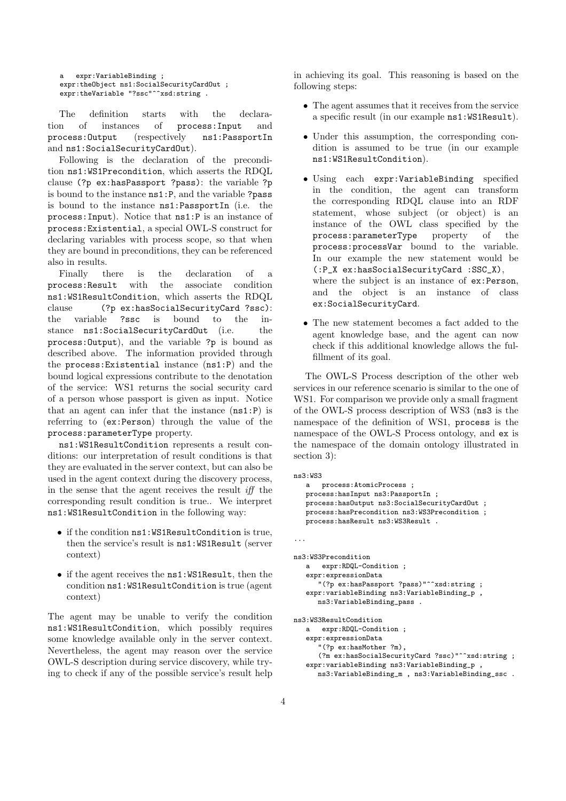a expr:VariableBinding ; expr:theObject ns1:SocialSecurityCardOut ; expr:theVariable "?ssc"^^xsd:string .

The definition starts with the declaration of instances of process:Input and process:Output (respectively ns1:PassportIn and ns1:SocialSecurityCardOut).

Following is the declaration of the precondition ns1:WS1Precondition, which asserts the RDQL clause (?p ex:hasPassport ?pass): the variable ?p is bound to the instance ns1:P, and the variable ?pass is bound to the instance ns1:PassportIn (i.e. the process:Input). Notice that ns1:P is an instance of process:Existential, a special OWL-S construct for declaring variables with process scope, so that when they are bound in preconditions, they can be referenced also in results.

Finally there is the declaration of a process:Result with the associate condition ns1:WS1ResultCondition, which asserts the RDQL clause (?p ex:hasSocialSecurityCard ?ssc): the variable ?ssc is bound to the instance ns1:SocialSecurityCardOut (i.e. the process:Output), and the variable ?p is bound as described above. The information provided through the process:Existential instance (ns1:P) and the bound logical expressions contribute to the denotation of the service: WS1 returns the social security card of a person whose passport is given as input. Notice that an agent can infer that the instance (ns1:P) is referring to (ex:Person) through the value of the process:parameterType property.

ns1:WS1ResultCondition represents a result conditions: our interpretation of result conditions is that they are evaluated in the server context, but can also be used in the agent context during the discovery process, in the sense that the agent receives the result  $iff$ corresponding result condition is true.. We interpret ns1:WS1ResultCondition in the following way:

- if the condition ns1:WS1ResultCondition is true, then the service's result is ns1:WS1Result (server context)
- if the agent receives the ns1:WS1Result, then the condition ns1:WS1ResultCondition is true (agent context)

The agent may be unable to verify the condition ns1:WS1ResultCondition, which possibly requires some knowledge available only in the server context. Nevertheless, the agent may reason over the service OWL-S description during service discovery, while trying to check if any of the possible service's result help in achieving its goal. This reasoning is based on the following steps:

- The agent assumes that it receives from the service a specific result (in our example ns1:WS1Result).
- Under this assumption, the corresponding condition is assumed to be true (in our example ns1:WS1ResultCondition).
- Using each expr:VariableBinding specified in the condition, the agent can transform the corresponding RDQL clause into an RDF statement, whose subject (or object) is an instance of the OWL class specified by the process:parameterType property of the process:processVar bound to the variable. In our example the new statement would be (:P\_X ex:hasSocialSecurityCard :SSC\_X), where the subject is an instance of ex:Person, and the object is an instance of class ex:SocialSecurityCard.
- The new statement becomes a fact added to the agent knowledge base, and the agent can now check if this additional knowledge allows the fulfillment of its goal.

The OWL-S Process description of the other web services in our reference scenario is similar to the one of WS1. For comparison we provide only a small fragment of the OWL-S process description of WS3 (ns3 is the namespace of the definition of WS1, process is the namespace of the OWL-S Process ontology, and ex is the namespace of the domain ontology illustrated in section 3):

```
ns3:WS3
   a process:AtomicProcess ;
   process:hasInput ns3:PassportIn ;
   process:hasOutput ns3:SocialSecurityCardOut ;
   process:hasPrecondition ns3:WS3Precondition ;
   process:hasResult ns3:WS3Result .
...
ns3:WS3Precondition
   a expr:RDQL-Condition ;
   expr:expressionData
      "(?p ex:hasPassport ?pass)"^^xsd:string ;
   expr:variableBinding ns3:VariableBinding_p ,
      ns3:VariableBinding_pass .
ns3:WS3ResultCondition
      expr:RDQL-Condition ;
   expr:expressionData
      "(?p ex:hasMother ?m),
      (?m ex:hasSocialSecurityCard ?ssc)"^^xsd:string ;
   expr:variableBinding ns3:VariableBinding_p ,
      ns3:VariableBinding_m , ns3:VariableBinding_ssc .
```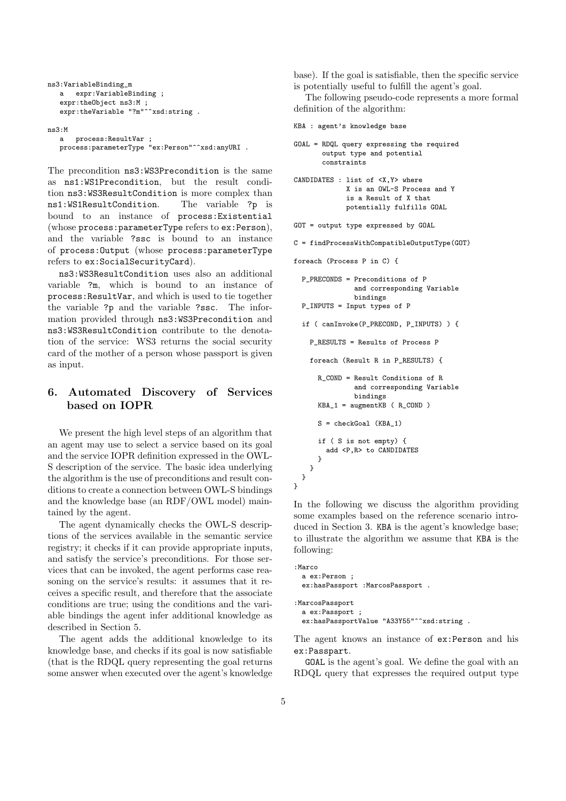```
ns3:VariableBinding_m
  a expr:VariableBinding ;
   expr:theObject ns3:M ;
   expr:theVariable "?m"^^xsd:string .
```

```
ns3:M
  a process:ResultVar ;
  process:parameterType "ex:Person"^^xsd:anyURI .
```
The precondition ns3:WS3Precondition is the same as ns1:WS1Precondition, but the result condition ns3:WS3ResultCondition is more complex than ns1:WS1ResultCondition. The variable ?p is bound to an instance of process:Existential (whose process:parameterType refers to ex:Person), and the variable ?ssc is bound to an instance of process:Output (whose process:parameterType refers to ex:SocialSecurityCard).

ns3:WS3ResultCondition uses also an additional variable ?m, which is bound to an instance of process:ResultVar, and which is used to tie together the variable ?p and the variable ?ssc. The information provided through ns3:WS3Precondition and ns3:WS3ResultCondition contribute to the denotation of the service: WS3 returns the social security card of the mother of a person whose passport is given as input.

## 6. Automated Discovery of Services based on IOPR

We present the high level steps of an algorithm that an agent may use to select a service based on its goal and the service IOPR definition expressed in the OWL-S description of the service. The basic idea underlying the algorithm is the use of preconditions and result conditions to create a connection between OWL-S bindings and the knowledge base (an RDF/OWL model) maintained by the agent.

The agent dynamically checks the OWL-S descriptions of the services available in the semantic service registry; it checks if it can provide appropriate inputs, and satisfy the service's preconditions. For those services that can be invoked, the agent performs case reasoning on the service's results: it assumes that it receives a specific result, and therefore that the associate conditions are true; using the conditions and the variable bindings the agent infer additional knowledge as described in Section 5.

The agent adds the additional knowledge to its knowledge base, and checks if its goal is now satisfiable (that is the RDQL query representing the goal returns some answer when executed over the agent's knowledge base). If the goal is satisfiable, then the specific service is potentially useful to fulfill the agent's goal.

The following pseudo-code represents a more formal definition of the algorithm:

```
KBA : agent's knowledge base
```

```
GOAL = RDQL query expressing the required
       output type and potential
       constraints
CANDIDATES : list of <X,Y> where
             X is an OWL-S Process and Y
             is a Result of X that
             potentially fulfills GOAL
GOT = output type expressed by GOAL
C = findProcessWithCompatibleOutputType(GOT)
foreach (Process P in C) {
  P_PRECONDS = Preconditions of P
               and corresponding Variable
               bindings
  P_INPUTS = Input types of P
  if ( canInvoke(P_PRECOND, P_INPUTS) ) {
    P_RESULTS = Results of Process P
    foreach (Result R in P_RESULTS) {
     R_COND = Result Conditions of R
               and corresponding Variable
               bindings
     KBA_1 = augmentKB ( R_COND )
     S = checkGoal (KBA_1)
     if ( S is not empty) {
        add <P,R> to CANDIDATES
     }
   }
 }
}
```
In the following we discuss the algorithm providing some examples based on the reference scenario introduced in Section 3. KBA is the agent's knowledge base; to illustrate the algorithm we assume that KBA is the following:

```
:Marco
 a ex:Person ;
 ex:hasPassport :MarcosPassport .
:MarcosPassport
 a ex:Passport ;
 ex:hasPassportValue "A33Y55"^^xsd:string .
```
The agent knows an instance of ex:Person and his ex:Passpart.

GOAL is the agent's goal. We define the goal with an RDQL query that expresses the required output type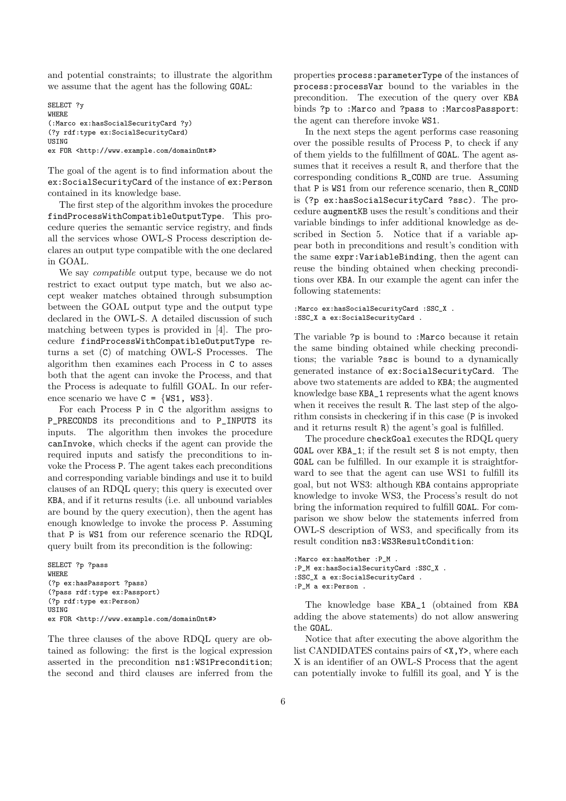and potential constraints; to illustrate the algorithm we assume that the agent has the following GOAL:

SELECT ?y WHERE (:Marco ex:hasSocialSecurityCard ?y) (?y rdf:type ex:SocialSecurityCard) USING ex FOR <http://www.example.com/domainOnt#>

The goal of the agent is to find information about the ex:SocialSecurityCard of the instance of ex:Person contained in its knowledge base.

The first step of the algorithm invokes the procedure findProcessWithCompatibleOutputType. This procedure queries the semantic service registry, and finds all the services whose OWL-S Process description declares an output type compatible with the one declared in GOAL.

We say compatible output type, because we do not restrict to exact output type match, but we also accept weaker matches obtained through subsumption between the GOAL output type and the output type declared in the OWL-S. A detailed discussion of such matching between types is provided in [4]. The procedure findProcessWithCompatibleOutputType returns a set (C) of matching OWL-S Processes. The algorithm then examines each Process in C to asses both that the agent can invoke the Process, and that the Process is adequate to fulfill GOAL. In our reference scenario we have  $C = \{WS1, WS3\}.$ 

For each Process P in C the algorithm assigns to P\_PRECONDS its preconditions and to P\_INPUTS its inputs. The algorithm then invokes the procedure canInvoke, which checks if the agent can provide the required inputs and satisfy the preconditions to invoke the Process P. The agent takes each preconditions and corresponding variable bindings and use it to build clauses of an RDQL query; this query is executed over KBA, and if it returns results (i.e. all unbound variables are bound by the query execution), then the agent has enough knowledge to invoke the process P. Assuming that P is WS1 from our reference scenario the RDQL query built from its precondition is the following:

```
SELECT ?p ?pass
WHERE
(?p ex:hasPassport ?pass)
(?pass rdf:type ex:Passport)
(?p rdf:type ex:Person)
USING
ex FOR <http://www.example.com/domainOnt#>
```
The three clauses of the above RDQL query are obtained as following: the first is the logical expression asserted in the precondition ns1:WS1Precondition; the second and third clauses are inferred from the properties process:parameterType of the instances of process:processVar bound to the variables in the precondition. The execution of the query over KBA binds ?p to :Marco and ?pass to :MarcosPassport: the agent can therefore invoke WS1.

In the next steps the agent performs case reasoning over the possible results of Process P, to check if any of them yields to the fulfillment of GOAL. The agent assumes that it receives a result R, and therfore that the corresponding conditions R\_COND are true. Assuming that P is WS1 from our reference scenario, then R\_COND is (?p ex:hasSocialSecurityCard ?ssc). The procedure augmentKB uses the result's conditions and their variable bindings to infer additional knowledge as described in Section 5. Notice that if a variable appear both in preconditions and result's condition with the same expr:VariableBinding, then the agent can reuse the binding obtained when checking preconditions over KBA. In our example the agent can infer the following statements:

```
:Marco ex:hasSocialSecurityCard :SSC_X .
:SSC_X a ex:SocialSecurityCard .
```
The variable ?p is bound to :Marco because it retain the same binding obtained while checking preconditions; the variable ?ssc is bound to a dynamically generated instance of ex:SocialSecurityCard. The above two statements are added to KBA; the augmented knowledge base KBA\_1 represents what the agent knows when it receives the result R. The last step of the algorithm consists in checkering if in this case (P is invoked and it returns result R) the agent's goal is fulfilled.

The procedure checkGoal executes the RDQL query GOAL over KBA\_1; if the result set S is not empty, then GOAL can be fulfilled. In our example it is straightforward to see that the agent can use WS1 to fulfill its goal, but not WS3: although KBA contains appropriate knowledge to invoke WS3, the Process's result do not bring the information required to fulfill GOAL. For comparison we show below the statements inferred from OWL-S description of WS3, and specifically from its result condition ns3:WS3ResultCondition:

```
:Marco ex:hasMother :P_M .
:P_M ex:hasSocialSecurityCard :SSC_X .
:SSC_X a ex:SocialSecurityCard .
:P_M a ex:Person .
```
The knowledge base KBA\_1 (obtained from KBA adding the above statements) do not allow answering the GOAL.

Notice that after executing the above algorithm the list CANDIDATES contains pairs of <X,Y>, where each X is an identifier of an OWL-S Process that the agent can potentially invoke to fulfill its goal, and Y is the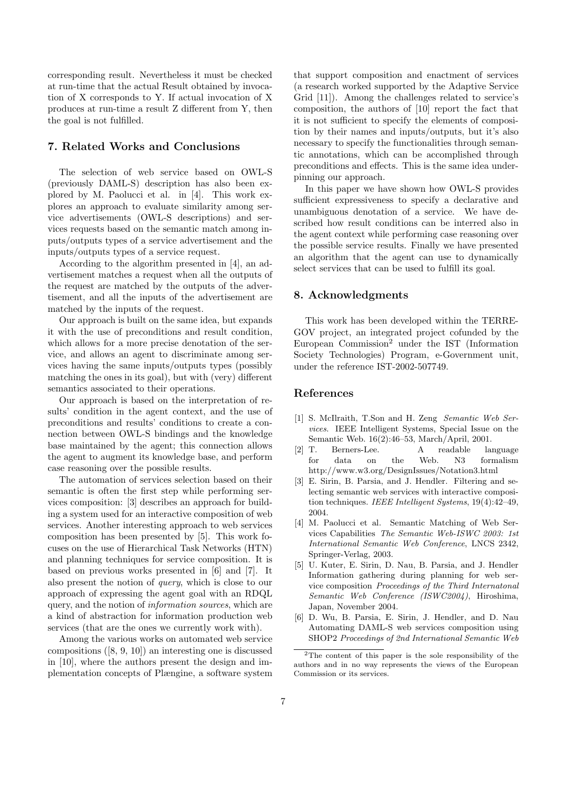corresponding result. Nevertheless it must be checked at run-time that the actual Result obtained by invocation of X corresponds to Y. If actual invocation of X produces at run-time a result Z different from Y, then the goal is not fulfilled.

### 7. Related Works and Conclusions

The selection of web service based on OWL-S (previously DAML-S) description has also been explored by M. Paolucci et al. in [4]. This work explores an approach to evaluate similarity among service advertisements (OWL-S descriptions) and services requests based on the semantic match among inputs/outputs types of a service advertisement and the inputs/outputs types of a service request.

According to the algorithm presented in [4], an advertisement matches a request when all the outputs of the request are matched by the outputs of the advertisement, and all the inputs of the advertisement are matched by the inputs of the request.

Our approach is built on the same idea, but expands it with the use of preconditions and result condition, which allows for a more precise denotation of the service, and allows an agent to discriminate among services having the same inputs/outputs types (possibly matching the ones in its goal), but with (very) different semantics associated to their operations.

Our approach is based on the interpretation of results' condition in the agent context, and the use of preconditions and results' conditions to create a connection between OWL-S bindings and the knowledge base maintained by the agent; this connection allows the agent to augment its knowledge base, and perform case reasoning over the possible results.

The automation of services selection based on their semantic is often the first step while performing services composition: [3] describes an approach for building a system used for an interactive composition of web services. Another interesting approach to web services composition has been presented by [5]. This work focuses on the use of Hierarchical Task Networks (HTN) and planning techniques for service composition. It is based on previous works presented in [6] and [7]. It also present the notion of query, which is close to our approach of expressing the agent goal with an RDQL query, and the notion of information sources, which are a kind of abstraction for information production web services (that are the ones we currently work with).

Among the various works on automated web service compositions ([8, 9, 10]) an interesting one is discussed in [10], where the authors present the design and implementation concepts of Plængine, a software system

that support composition and enactment of services (a research worked supported by the Adaptive Service Grid [11]). Among the challenges related to service's composition, the authors of [10] report the fact that it is not sufficient to specify the elements of composition by their names and inputs/outputs, but it's also necessary to specify the functionalities through semantic annotations, which can be accomplished through preconditions and effects. This is the same idea underpinning our approach.

In this paper we have shown how OWL-S provides sufficient expressiveness to specify a declarative and unambiguous denotation of a service. We have described how result conditions can be interred also in the agent context while performing case reasoning over the possible service results. Finally we have presented an algorithm that the agent can use to dynamically select services that can be used to fulfill its goal.

#### 8. Acknowledgments

This work has been developed within the TERRE-GOV project, an integrated project cofunded by the European Commission<sup>2</sup> under the IST (Information Society Technologies) Program, e-Government unit, under the reference IST-2002-507749.

### References

- [1] S. McIlraith, T.Son and H. Zeng Semantic Web Services. IEEE Intelligent Systems, Special Issue on the Semantic Web. 16(2):46–53, March/April, 2001.
- [2] T. Berners-Lee. A readable language for data on the Web. N3 formalism http://www.w3.org/DesignIssues/Notation3.html
- [3] E. Sirin, B. Parsia, and J. Hendler. Filtering and selecting semantic web services with interactive composition techniques. IEEE Intelligent Systems, 19(4):42–49, 2004.
- [4] M. Paolucci et al. Semantic Matching of Web Services Capabilities The Semantic Web-ISWC 2003: 1st International Semantic Web Conference, LNCS 2342, Springer-Verlag, 2003.
- [5] U. Kuter, E. Sirin, D. Nau, B. Parsia, and J. Hendler Information gathering during planning for web service composition Proceedings of the Third Internatonal Semantic Web Conference (ISWC2004), Hiroshima, Japan, November 2004.
- [6] D. Wu, B. Parsia, E. Sirin, J. Hendler, and D. Nau Automating DAML-S web services composition using SHOP2 Proceedings of 2nd International Semantic Web

<sup>&</sup>lt;sup>2</sup>The content of this paper is the sole responsibility of the authors and in no way represents the views of the European Commission or its services.